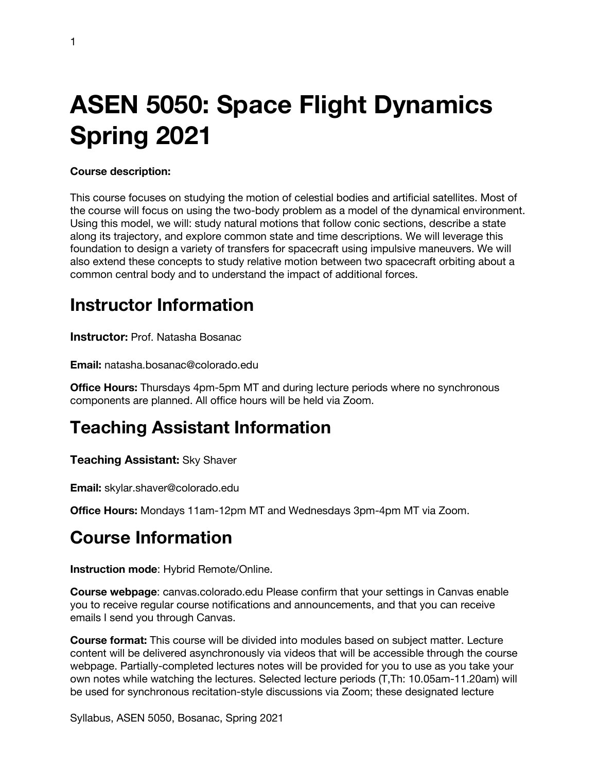# **ASEN 5050: Space Flight Dynamics Spring 2021**

#### **Course description:**

This course focuses on studying the motion of celestial bodies and artificial satellites. Most of the course will focus on using the two-body problem as a model of the dynamical environment. Using this model, we will: study natural motions that follow conic sections, describe a state along its trajectory, and explore common state and time descriptions. We will leverage this foundation to design a variety of transfers for spacecraft using impulsive maneuvers. We will also extend these concepts to study relative motion between two spacecraft orbiting about a common central body and to understand the impact of additional forces.

### **Instructor Information**

**Instructor:** Prof. Natasha Bosanac

**Email:** natasha.bosanac@colorado.edu

**Office Hours:** Thursdays 4pm-5pm MT and during lecture periods where no synchronous components are planned. All office hours will be held via Zoom.

### **Teaching Assistant Information**

**Teaching Assistant:** Sky Shaver

**Email:** skylar.shaver@colorado.edu

**Office Hours:** Mondays 11am-12pm MT and Wednesdays 3pm-4pm MT via Zoom.

### **Course Information**

**Instruction mode**: Hybrid Remote/Online.

**Course webpage**: canvas.colorado.edu Please confirm that your settings in Canvas enable you to receive regular course notifications and announcements, and that you can receive emails I send you through Canvas.

**Course format:** This course will be divided into modules based on subject matter. Lecture content will be delivered asynchronously via videos that will be accessible through the course webpage. Partially-completed lectures notes will be provided for you to use as you take your own notes while watching the lectures. Selected lecture periods (T,Th: 10.05am-11.20am) will be used for synchronous recitation-style discussions via Zoom; these designated lecture

Syllabus, ASEN 5050, Bosanac, Spring 2021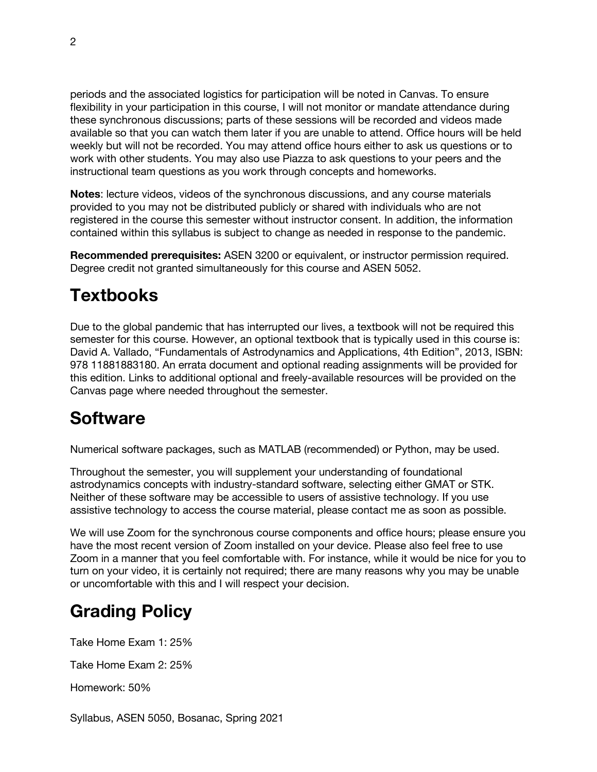periods and the associated logistics for participation will be noted in Canvas. To ensure flexibility in your participation in this course, I will not monitor or mandate attendance during these synchronous discussions; parts of these sessions will be recorded and videos made available so that you can watch them later if you are unable to attend. Office hours will be held weekly but will not be recorded. You may attend office hours either to ask us questions or to work with other students. You may also use Piazza to ask questions to your peers and the instructional team questions as you work through concepts and homeworks.

**Notes**: lecture videos, videos of the synchronous discussions, and any course materials provided to you may not be distributed publicly or shared with individuals who are not registered in the course this semester without instructor consent. In addition, the information contained within this syllabus is subject to change as needed in response to the pandemic.

**Recommended prerequisites:** ASEN 3200 or equivalent, or instructor permission required. Degree credit not granted simultaneously for this course and ASEN 5052.

# **Textbooks**

Due to the global pandemic that has interrupted our lives, a textbook will not be required this semester for this course. However, an optional textbook that is typically used in this course is: David A. Vallado, "Fundamentals of Astrodynamics and Applications, 4th Edition", 2013, ISBN: 978 11881883180. An errata document and optional reading assignments will be provided for this edition. Links to additional optional and freely-available resources will be provided on the Canvas page where needed throughout the semester.

### **Software**

Numerical software packages, such as MATLAB (recommended) or Python, may be used.

Throughout the semester, you will supplement your understanding of foundational astrodynamics concepts with industry-standard software, selecting either GMAT or STK. Neither of these software may be accessible to users of assistive technology. If you use assistive technology to access the course material, please contact me as soon as possible.

We will use Zoom for the synchronous course components and office hours; please ensure you have the most recent version of Zoom installed on your device. Please also feel free to use Zoom in a manner that you feel comfortable with. For instance, while it would be nice for you to turn on your video, it is certainly not required; there are many reasons why you may be unable or uncomfortable with this and I will respect your decision.

# **Grading Policy**

Take Home Exam 1: 25%

Take Home Exam 2: 25%

Homework: 50%

Syllabus, ASEN 5050, Bosanac, Spring 2021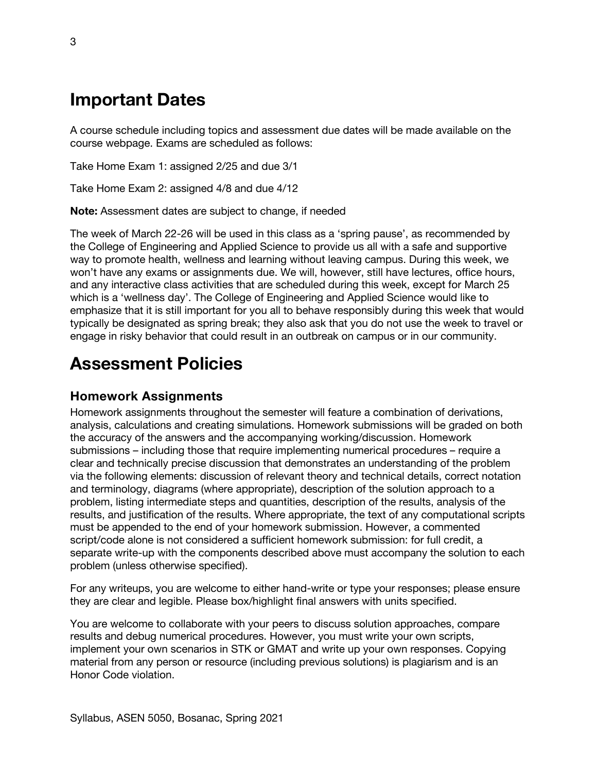### **Important Dates**

A course schedule including topics and assessment due dates will be made available on the course webpage. Exams are scheduled as follows:

Take Home Exam 1: assigned 2/25 and due 3/1

Take Home Exam 2: assigned 4/8 and due 4/12

**Note:** Assessment dates are subject to change, if needed

The week of March 22-26 will be used in this class as a 'spring pause', as recommended by the College of Engineering and Applied Science to provide us all with a safe and supportive way to promote health, wellness and learning without leaving campus. During this week, we won't have any exams or assignments due. We will, however, still have lectures, office hours, and any interactive class activities that are scheduled during this week, except for March 25 which is a 'wellness day'. The College of Engineering and Applied Science would like to emphasize that it is still important for you all to behave responsibly during this week that would typically be designated as spring break; they also ask that you do not use the week to travel or engage in risky behavior that could result in an outbreak on campus or in our community.

### **Assessment Policies**

#### **Homework Assignments**

Homework assignments throughout the semester will feature a combination of derivations, analysis, calculations and creating simulations. Homework submissions will be graded on both the accuracy of the answers and the accompanying working/discussion. Homework submissions – including those that require implementing numerical procedures – require a clear and technically precise discussion that demonstrates an understanding of the problem via the following elements: discussion of relevant theory and technical details, correct notation and terminology, diagrams (where appropriate), description of the solution approach to a problem, listing intermediate steps and quantities, description of the results, analysis of the results, and justification of the results. Where appropriate, the text of any computational scripts must be appended to the end of your homework submission. However, a commented script/code alone is not considered a sufficient homework submission: for full credit, a separate write-up with the components described above must accompany the solution to each problem (unless otherwise specified).

For any writeups, you are welcome to either hand-write or type your responses; please ensure they are clear and legible. Please box/highlight final answers with units specified.

You are welcome to collaborate with your peers to discuss solution approaches, compare results and debug numerical procedures. However, you must write your own scripts, implement your own scenarios in STK or GMAT and write up your own responses. Copying material from any person or resource (including previous solutions) is plagiarism and is an Honor Code violation.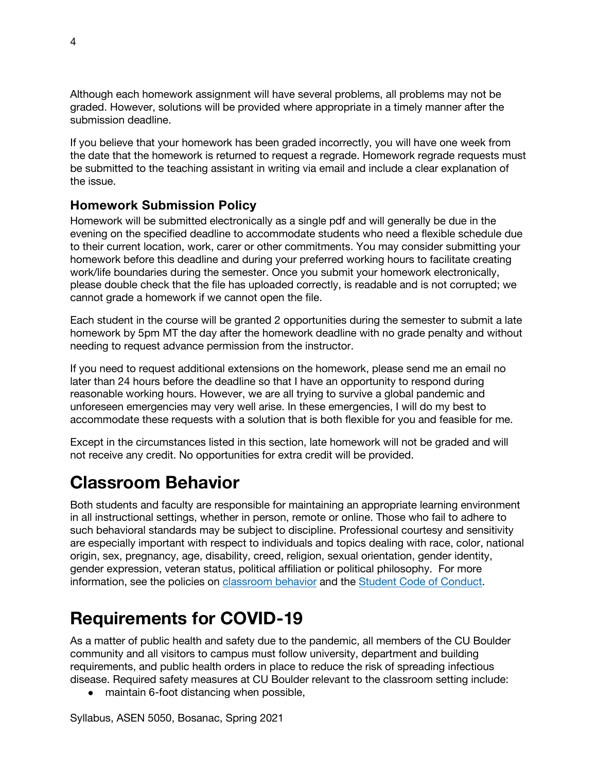Although each homework assignment will have several problems, all problems may not be graded. However, solutions will be provided where appropriate in a timely manner after the submission deadline.

If you believe that your homework has been graded incorrectly, you will have one week from the date that the homework is returned to request a regrade. Homework regrade requests must be submitted to the teaching assistant in writing via email and include a clear explanation of the issue.

#### **Homework Submission Policy**

Homework will be submitted electronically as a single pdf and will generally be due in the evening on the specified deadline to accommodate students who need a flexible schedule due to their current location, work, carer or other commitments. You may consider submitting your homework before this deadline and during your preferred working hours to facilitate creating work/life boundaries during the semester. Once you submit your homework electronically, please double check that the file has uploaded correctly, is readable and is not corrupted; we cannot grade a homework if we cannot open the file.

Each student in the course will be granted 2 opportunities during the semester to submit a late homework by 5pm MT the day after the homework deadline with no grade penalty and without needing to request advance permission from the instructor.

If you need to request additional extensions on the homework, please send me an email no later than 24 hours before the deadline so that I have an opportunity to respond during reasonable working hours. However, we are all trying to survive a global pandemic and unforeseen emergencies may very well arise. In these emergencies, I will do my best to accommodate these requests with a solution that is both flexible for you and feasible for me.

Except in the circumstances listed in this section, late homework will not be graded and will not receive any credit. No opportunities for extra credit will be provided.

# **Classroom Behavior**

Both students and faculty are responsible for maintaining an appropriate learning environment in all instructional settings, whether in person, remote or online. Those who fail to adhere to such behavioral standards may be subject to discipline. Professional courtesy and sensitivity are especially important with respect to individuals and topics dealing with race, color, national origin, sex, pregnancy, age, disability, creed, religion, sexual orientation, gender identity, gender expression, veteran status, political affiliation or political philosophy. For more information, see the policies on classroom behavior and the Student Code of Conduct.

### **Requirements for COVID-19**

As a matter of public health and safety due to the pandemic, all members of the CU Boulder community and all visitors to campus must follow university, department and building requirements, and public health orders in place to reduce the risk of spreading infectious disease. Required safety measures at CU Boulder relevant to the classroom setting include:

• maintain 6-foot distancing when possible,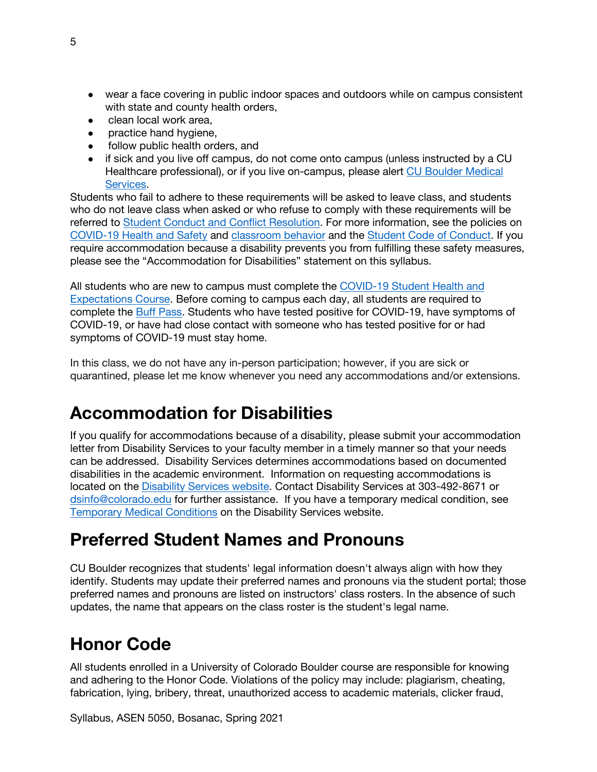- wear a face covering in public indoor spaces and outdoors while on campus consistent with state and county health orders,
- clean local work area,
- practice hand hygiene,
- follow public health orders, and
- if sick and you live off campus, do not come onto campus (unless instructed by a CU Healthcare professional), or if you live on-campus, please alert CU Boulder Medical Services.

Students who fail to adhere to these requirements will be asked to leave class, and students who do not leave class when asked or who refuse to comply with these requirements will be referred to Student Conduct and Conflict Resolution. For more information, see the policies on COVID-19 Health and Safety and classroom behavior and the Student Code of Conduct. If you require accommodation because a disability prevents you from fulfilling these safety measures, please see the "Accommodation for Disabilities" statement on this syllabus.

All students who are new to campus must complete the COVID-19 Student Health and Expectations Course. Before coming to campus each day, all students are required to complete the Buff Pass. Students who have tested positive for COVID-19, have symptoms of COVID-19, or have had close contact with someone who has tested positive for or had symptoms of COVID-19 must stay home.

In this class, we do not have any in-person participation; however, if you are sick or quarantined, please let me know whenever you need any accommodations and/or extensions.

# **Accommodation for Disabilities**

If you qualify for accommodations because of a disability, please submit your accommodation letter from Disability Services to your faculty member in a timely manner so that your needs can be addressed. Disability Services determines accommodations based on documented disabilities in the academic environment. Information on requesting accommodations is located on the Disability Services website. Contact Disability Services at 303-492-8671 or dsinfo@colorado.edu for further assistance. If you have a temporary medical condition, see Temporary Medical Conditions on the Disability Services website.

### **Preferred Student Names and Pronouns**

CU Boulder recognizes that students' legal information doesn't always align with how they identify. Students may update their preferred names and pronouns via the student portal; those preferred names and pronouns are listed on instructors' class rosters. In the absence of such updates, the name that appears on the class roster is the student's legal name.

# **Honor Code**

All students enrolled in a University of Colorado Boulder course are responsible for knowing and adhering to the Honor Code. Violations of the policy may include: plagiarism, cheating, fabrication, lying, bribery, threat, unauthorized access to academic materials, clicker fraud,

Syllabus, ASEN 5050, Bosanac, Spring 2021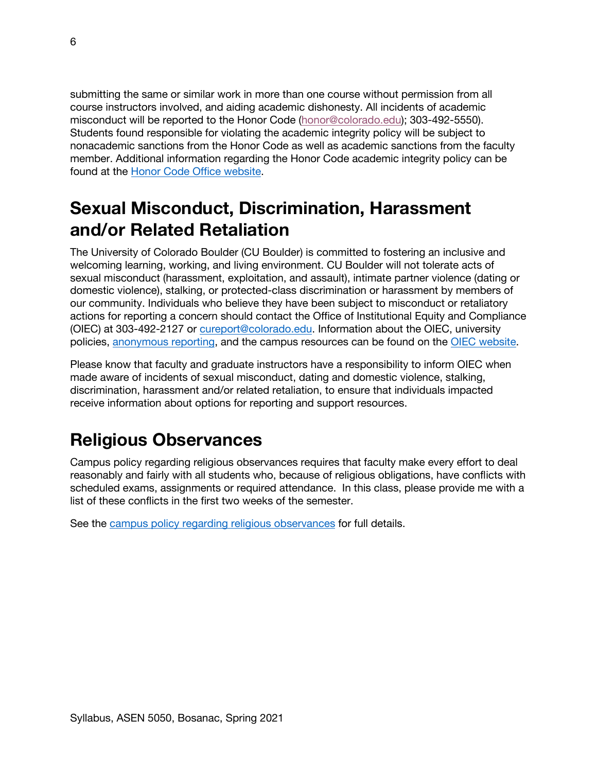submitting the same or similar work in more than one course without permission from all course instructors involved, and aiding academic dishonesty. All incidents of academic misconduct will be reported to the Honor Code (honor@colorado.edu); 303-492-5550). Students found responsible for violating the academic integrity policy will be subject to nonacademic sanctions from the Honor Code as well as academic sanctions from the faculty member. Additional information regarding the Honor Code academic integrity policy can be found at the Honor Code Office website.

# **Sexual Misconduct, Discrimination, Harassment and/or Related Retaliation**

The University of Colorado Boulder (CU Boulder) is committed to fostering an inclusive and welcoming learning, working, and living environment. CU Boulder will not tolerate acts of sexual misconduct (harassment, exploitation, and assault), intimate partner violence (dating or domestic violence), stalking, or protected-class discrimination or harassment by members of our community. Individuals who believe they have been subject to misconduct or retaliatory actions for reporting a concern should contact the Office of Institutional Equity and Compliance (OIEC) at 303-492-2127 or cureport@colorado.edu. Information about the OIEC, university policies, anonymous reporting, and the campus resources can be found on the OIEC website.

Please know that faculty and graduate instructors have a responsibility to inform OIEC when made aware of incidents of sexual misconduct, dating and domestic violence, stalking, discrimination, harassment and/or related retaliation, to ensure that individuals impacted receive information about options for reporting and support resources.

### **Religious Observances**

Campus policy regarding religious observances requires that faculty make every effort to deal reasonably and fairly with all students who, because of religious obligations, have conflicts with scheduled exams, assignments or required attendance. In this class, please provide me with a list of these conflicts in the first two weeks of the semester.

See the campus policy regarding religious observances for full details.